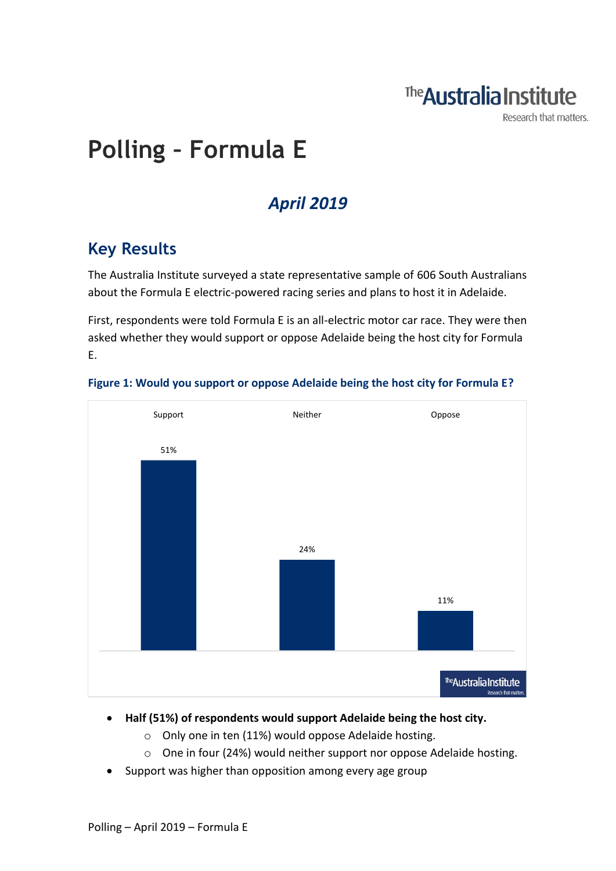

Research that matters.

# **Polling – Formula E**

## *April 2019*

### **Key Results**

The Australia Institute surveyed a state representative sample of 606 South Australians about the Formula E electric-powered racing series and plans to host it in Adelaide.

First, respondents were told Formula E is an all-electric motor car race. They were then asked whether they would support or oppose Adelaide being the host city for Formula E.



#### **Figure 1: Would you support or oppose Adelaide being the host city for Formula E?**

- **Half (51%) of respondents would support Adelaide being the host city.**
	- o Only one in ten (11%) would oppose Adelaide hosting.
	- o One in four (24%) would neither support nor oppose Adelaide hosting.
- Support was higher than opposition among every age group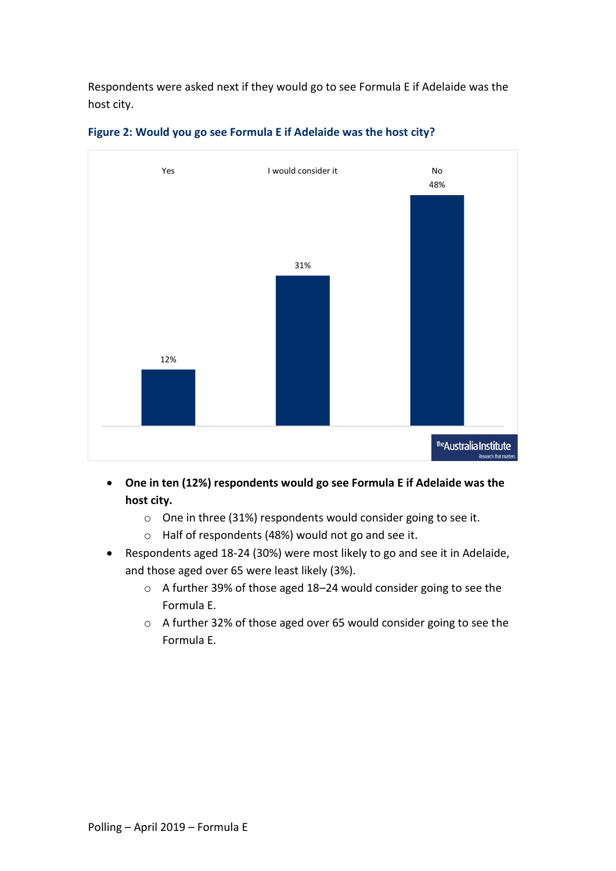Respondents were asked next if they would go to see Formula E if Adelaide was the host city.



#### **Figure 2: Would you go see Formula E if Adelaide was the host city?**

- **One in ten (12%) respondents would go see Formula E if Adelaide was the host city.**
	- o One in three (31%) respondents would consider going to see it.
	- o Half of respondents (48%) would not go and see it.
- Respondents aged 18-24 (30%) were most likely to go and see it in Adelaide, and those aged over 65 were least likely (3%).
	- o A further 39% of those aged 18–24 would consider going to see the Formula E.
	- o A further 32% of those aged over 65 would consider going to see the Formula E.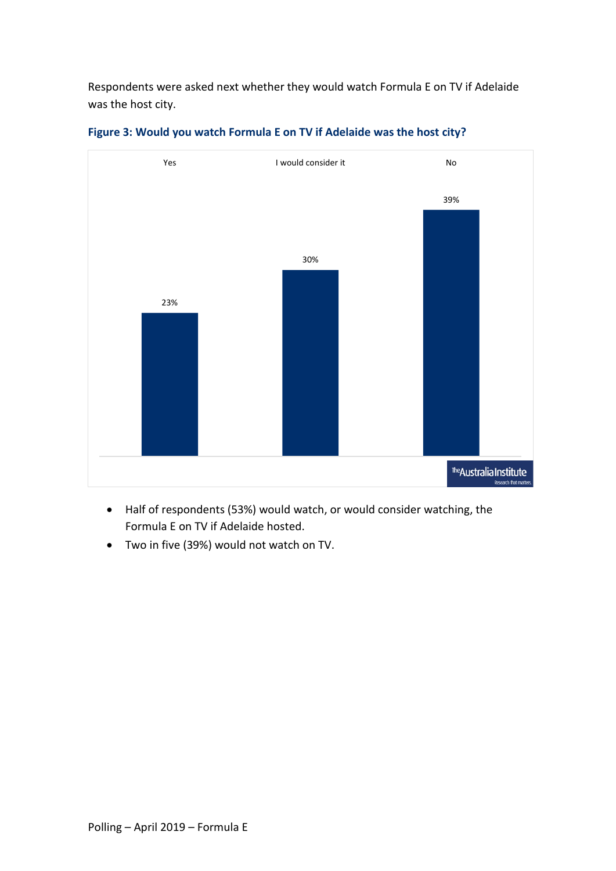Respondents were asked next whether they would watch Formula E on TV if Adelaide was the host city.



**Figure 3: Would you watch Formula E on TV if Adelaide was the host city?**

- Half of respondents (53%) would watch, or would consider watching, the Formula E on TV if Adelaide hosted.
- Two in five (39%) would not watch on TV.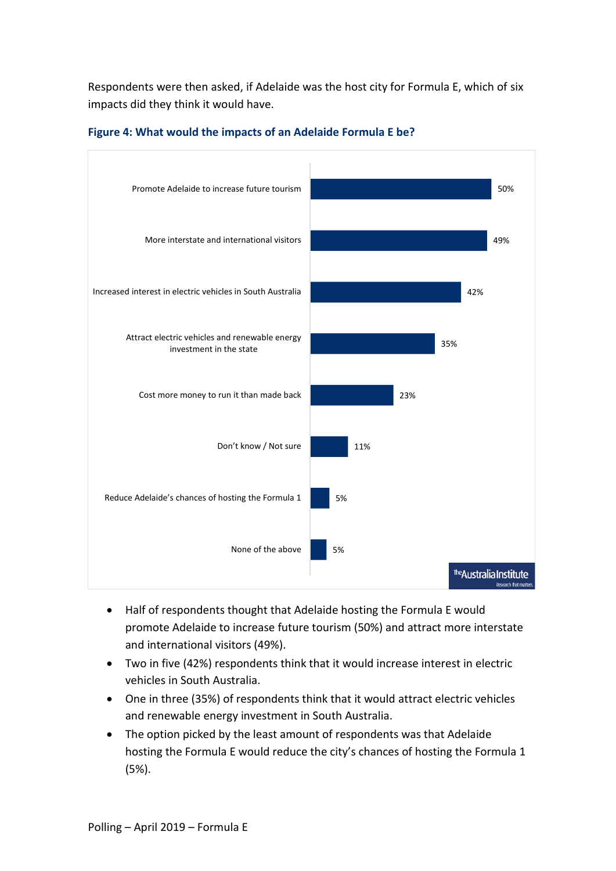Respondents were then asked, if Adelaide was the host city for Formula E, which of six impacts did they think it would have.



#### **Figure 4: What would the impacts of an Adelaide Formula E be?**

- Half of respondents thought that Adelaide hosting the Formula E would promote Adelaide to increase future tourism (50%) and attract more interstate and international visitors (49%).
- Two in five (42%) respondents think that it would increase interest in electric vehicles in South Australia.
- One in three (35%) of respondents think that it would attract electric vehicles and renewable energy investment in South Australia.
- The option picked by the least amount of respondents was that Adelaide hosting the Formula E would reduce the city's chances of hosting the Formula 1 (5%).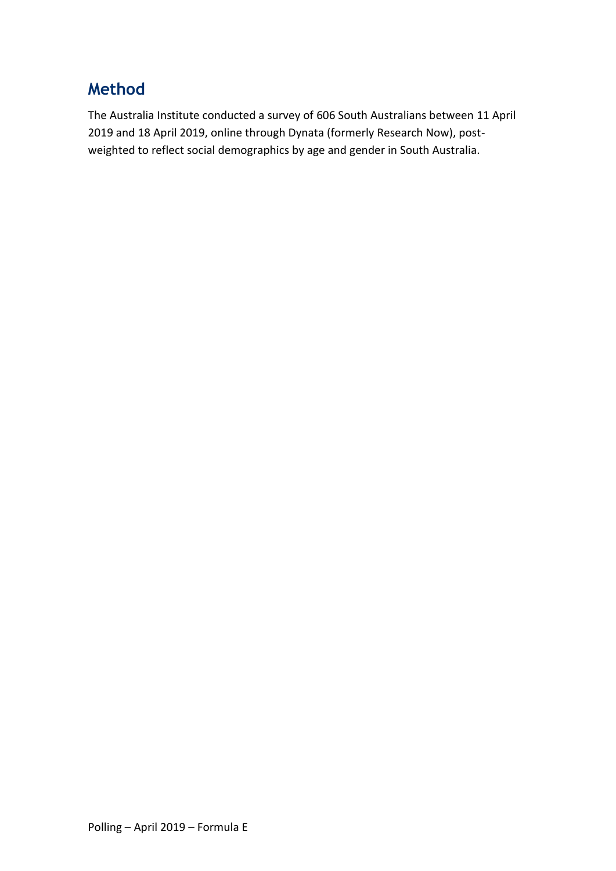### **Method**

The Australia Institute conducted a survey of 606 South Australians between 11 April 2019 and 18 April 2019, online through Dynata (formerly Research Now), postweighted to reflect social demographics by age and gender in South Australia.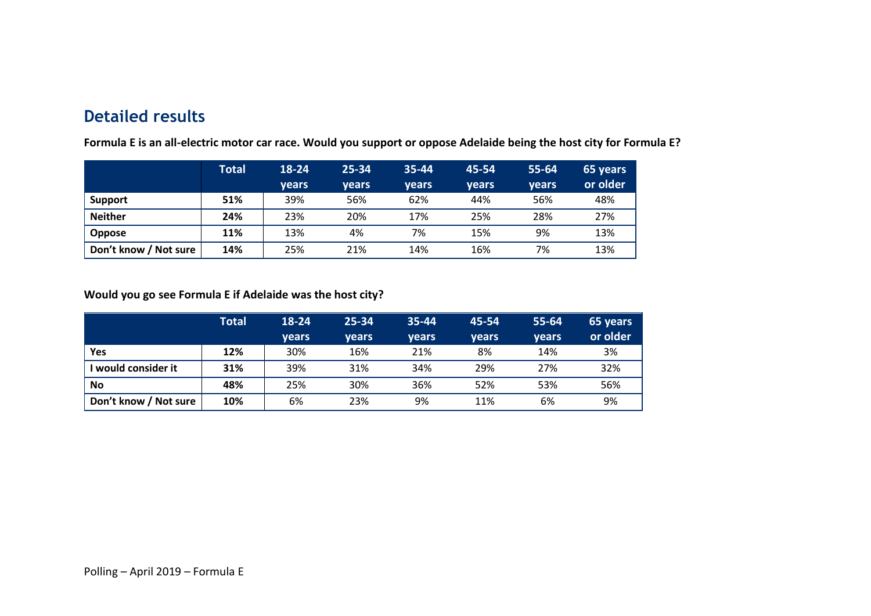### **Detailed results**

|                       | <b>Total</b> | 18-24 | $25 - 34$ | 35-44 | 45-54 | 55-64        | 65 years |
|-----------------------|--------------|-------|-----------|-------|-------|--------------|----------|
|                       |              | vears | vears     | vears | vears | <b>vears</b> | or older |
| Support               | 51%          | 39%   | 56%       | 62%   | 44%   | 56%          | 48%      |
| <b>Neither</b>        | 24%          | 23%   | 20%       | 17%   | 25%   | 28%          | 27%      |
| <b>Oppose</b>         | 11%          | 13%   | 4%        | 7%    | 15%   | 9%           | 13%      |
| Don't know / Not sure | 14%          | 25%   | 21%       | 14%   | 16%   | 7%           | 13%      |

**Formula E is an all-electric motor car race. Would you support or oppose Adelaide being the host city for Formula E?**

#### **Would you go see Formula E if Adelaide was the host city?**

|                       | <b>Total</b> | 18-24 | $25 - 34$ | 35-44 | 45-54 | 55-64        | 65 years |
|-----------------------|--------------|-------|-----------|-------|-------|--------------|----------|
|                       |              | years | vears     | vears | vears | <b>vears</b> | or older |
| Yes                   | 12%          | 30%   | 16%       | 21%   | 8%    | 14%          | 3%       |
| I would consider it   | 31%          | 39%   | 31%       | 34%   | 29%   | 27%          | 32%      |
| <b>No</b>             | 48%          | 25%   | 30%       | 36%   | 52%   | 53%          | 56%      |
| Don't know / Not sure | 10%          | 6%    | 23%       | 9%    | 11%   | 6%           | 9%       |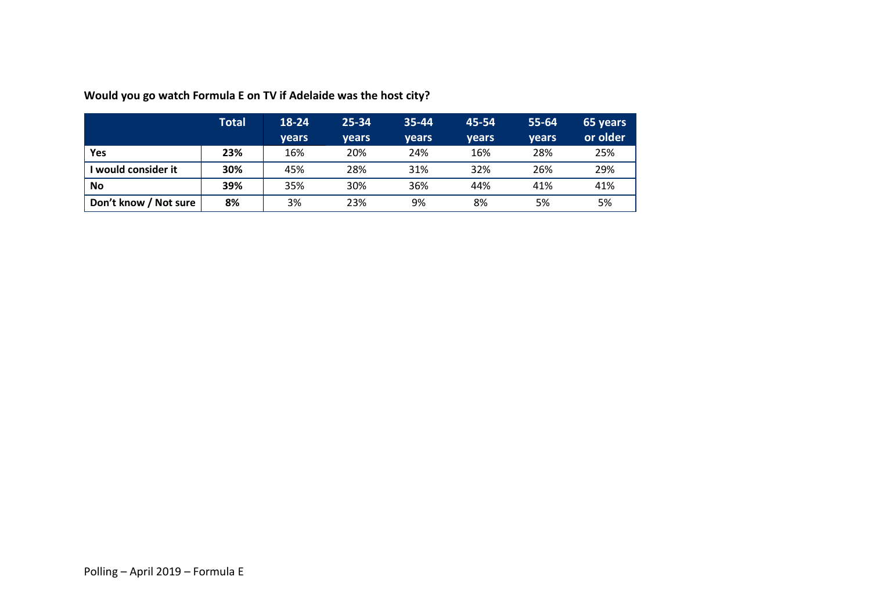|                       | <b>Total</b> | 18-24 | $25 - 34$    | 35-44 | 45-54 | $55 - 64$ | 65 years |
|-----------------------|--------------|-------|--------------|-------|-------|-----------|----------|
|                       |              | vears | <b>vears</b> | vears | vears | years     | or older |
| Yes                   | 23%          | 16%   | 20%          | 24%   | 16%   | 28%       | 25%      |
| I would consider it   | 30%          | 45%   | 28%          | 31%   | 32%   | 26%       | 29%      |
| <b>No</b>             | 39%          | 35%   | 30%          | 36%   | 44%   | 41%       | 41%      |
| Don't know / Not sure | 8%           | 3%    | 23%          | 9%    | 8%    | 5%        | 5%       |

**Would you go watch Formula E on TV if Adelaide was the host city?**